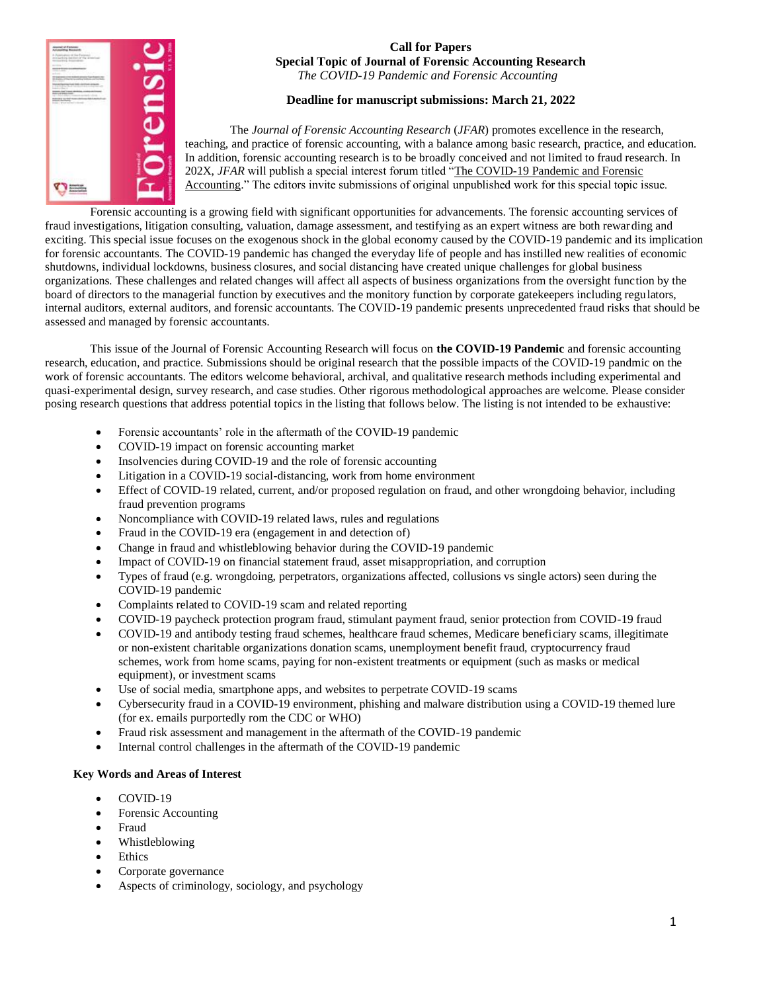

# **Call for Papers Special Topic of Journal of Forensic Accounting Research**

*The COVID-19 Pandemic and Forensic Accounting*

## **Deadline for manuscript submissions: March 21, 2022**

The *Journal of Forensic Accounting Research* (*JFAR*) promotes excellence in the research, teaching, and practice of forensic accounting, with a balance among basic research, practice, and education. In addition, forensic accounting research is to be broadly conceived and not limited to fraud research. In 202X, *JFAR* will publish a special interest forum titled "The COVID-19 Pandemic and Forensic Accounting." The editors invite submissions of original unpublished work for this special topic issue.

Forensic accounting is a growing field with significant opportunities for advancements. The forensic accounting services of fraud investigations, litigation consulting, valuation, damage assessment, and testifying as an expert witness are both rewarding and exciting. This special issue focuses on the exogenous shock in the global economy caused by the COVID-19 pandemic and its implication for forensic accountants. The COVID-19 pandemic has changed the everyday life of people and has instilled new realities of economic shutdowns, individual lockdowns, business closures, and social distancing have created unique challenges for global business organizations. These challenges and related changes will affect all aspects of business organizations from the oversight function by the board of directors to the managerial function by executives and the monitory function by corporate gatekeepers including regulators, internal auditors, external auditors, and forensic accountants. The COVID-19 pandemic presents unprecedented fraud risks that should be assessed and managed by forensic accountants.

This issue of the Journal of Forensic Accounting Research will focus on **the COVID-19 Pandemic** and forensic accounting research, education, and practice. Submissions should be original research that the possible impacts of the COVID-19 pandmic on the work of forensic accountants. The editors welcome behavioral, archival, and qualitative research methods including experimental and quasi-experimental design, survey research, and case studies. Other rigorous methodological approaches are welcome. Please consider posing research questions that address potential topics in the listing that follows below. The listing is not intended to be exhaustive:

- Forensic accountants' role in the aftermath of the COVID-19 pandemic
- COVID-19 impact on forensic accounting market
- Insolvencies during COVID-19 and the role of forensic accounting
- Litigation in a COVID-19 social-distancing, work from home environment
- Effect of COVID-19 related, current, and/or proposed regulation on fraud, and other wrongdoing behavior, including fraud prevention programs
- Noncompliance with COVID-19 related laws, rules and regulations
- Fraud in the COVID-19 era (engagement in and detection of)
- Change in fraud and whistleblowing behavior during the COVID-19 pandemic
- Impact of COVID-19 on financial statement fraud, asset misappropriation, and corruption
- Types of fraud (e.g. wrongdoing, perpetrators, organizations affected, collusions vs single actors) seen during the COVID-19 pandemic
- Complaints related to COVID-19 scam and related reporting
- COVID-19 paycheck protection program fraud, stimulant payment fraud, senior protection from COVID-19 fraud
- COVID-19 and antibody testing fraud schemes, healthcare fraud schemes, Medicare beneficiary scams, illegitimate or non-existent charitable organizations donation scams, unemployment benefit fraud, cryptocurrency fraud schemes, work from home scams, paying for non-existent treatments or equipment (such as masks or medical equipment), or investment scams
- Use of social media, smartphone apps, and websites to perpetrate COVID-19 scams
- Cybersecurity fraud in a COVID-19 environment, phishing and malware distribution using a COVID-19 themed lure (for ex. emails purportedly rom the CDC or WHO)
- Fraud risk assessment and management in the aftermath of the COVID-19 pandemic
- Internal control challenges in the aftermath of the COVID-19 pandemic

### **Key Words and Areas of Interest**

- COVID-19
- Forensic Accounting
- Fraud
- Whistleblowing
- Ethics
- Corporate governance
- Aspects of criminology, sociology, and psychology